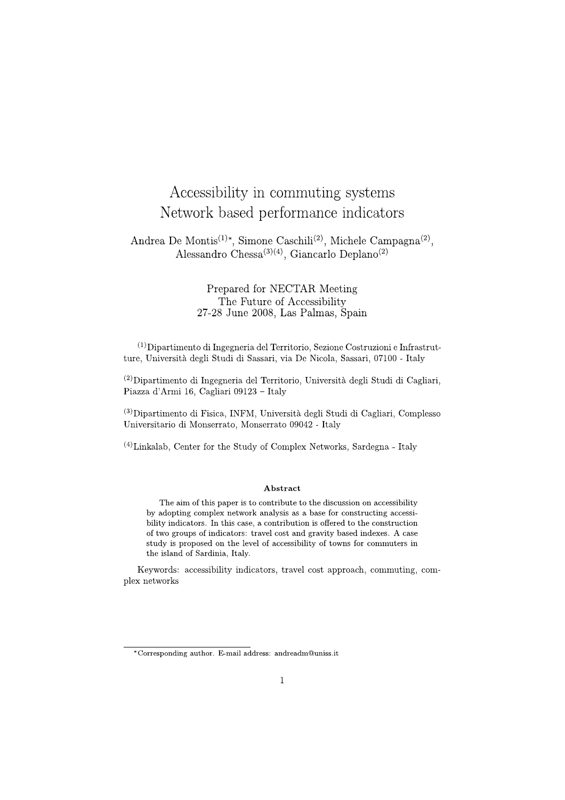# Accessibility in commuting systems Network based performance indicators

Andrea De Montis<sup>(1)\*</sup>, Simone Caschili<sup>(2)</sup>, Michele Campagna<sup>(2)</sup>, Alessandro Chessa<sup>(3)(4)</sup>, Giancarlo Deplano<sup>(2)</sup>

> Prepared for NECTAR Meeting The Future of Accessibility 27-28 June 2008, Las Palmas, Spain

 $(1)$ Dipartimento di Ingegneria del Territorio, Sezione Costruzioni e Infrastrutture, Università degli Studi di Sassari, via De Nicola, Sassari, 07100 - Italy

 $^{(2)}$ Dipartimento di Ingegneria del Territorio, Università degli Studi di Cagliari. Piazza d'Armi 16, Cagliari 09123 - Italy

<sup>(3)</sup>Dipartimento di Fisica, INFM, Università degli Studi di Cagliari, Complesso Universitario di Monserrato, Monserrato 09042 - Italy

 $(4)$ Linkalab. Center for the Study of Complex Networks, Sardegna - Italy

# Abstract

The aim of this paper is to contribute to the discussion on accessibility by adopting complex network analysis as a base for constructing accessibility indicators. In this case, a contribution is offered to the construction of two groups of indicators: travel cost and gravity based indexes. A case study is proposed on the level of accessibility of towns for commuters in the island of Sardinia, Italy.

Keywords: accessibility indicators, travel cost approach, commuting, complex networks

<sup>\*</sup>Corresponding author. E-mail address: andreadm@uniss.it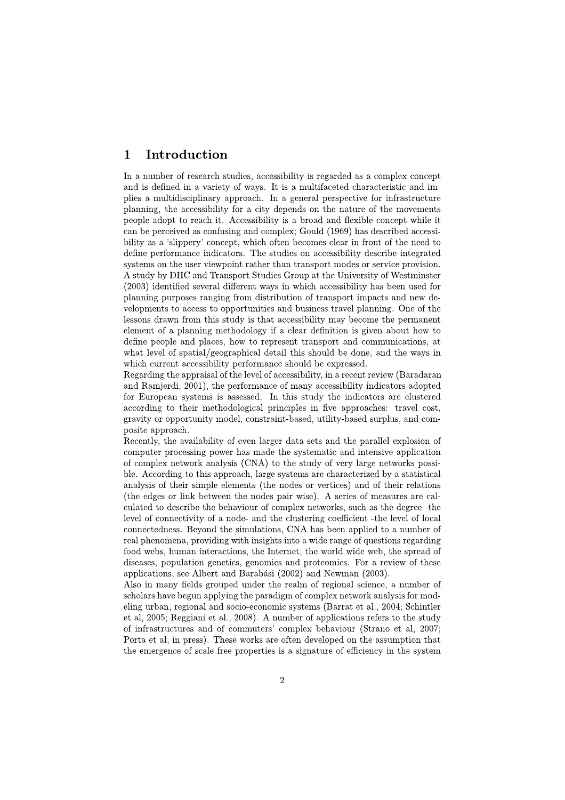#### $\mathbf{1}$ Introduction

In a number of research studies, accessibility is regarded as a complex concept and is defined in a variety of ways. It is a multifaceted characteristic and implies a multidisciplinary approach. In a general perspective for infrastructure planning, the accessibility for a city depends on the nature of the movements people adopt to reach it. Accessibility is a broad and flexible concept while it can be perceived as confusing and complex; Gould (1969) has described accessibility as a 'slippery' concept, which often becomes clear in front of the need to define performance indicators. The studies on accessibility describe integrated systems on the user viewpoint rather than transport modes or service provision. A study by DHC and Transport Studies Group at the University of Westminster (2003) identified several different ways in which accessibility has been used for planning purposes ranging from distribution of transport impacts and new developments to access to opportunities and business travel planning. One of the lessons drawn from this study is that accessibility may become the permanent element of a planning methodology if a clear definition is given about how to define people and places, how to represent transport and communications, at what level of spatial/geographical detail this should be done, and the ways in which current accessibility performance should be expressed.

Regarding the appraisal of the level of accessibility, in a recent review (Baradaran and Ramjerdi, 2001), the performance of many accessibility indicators adopted for European systems is assessed. In this study the indicators are clustered according to their methodological principles in five approaches: travel cost, gravity or opportunity model, constraint-based, utility-based surplus, and composite approach.

Recently, the availability of even larger data sets and the parallel explosion of computer processing power has made the systematic and intensive application of complex network analysis (CNA) to the study of very large networks possible. According to this approach, large systems are characterized by a statistical analysis of their simple elements (the nodes or vertices) and of their relations (the edges or link between the nodes pair wise). A series of measures are calculated to describe the behaviour of complex networks, such as the degree -the level of connectivity of a node- and the clustering coefficient -the level of local connectedness. Beyond the simulations, CNA has been applied to a number of real phenomena, providing with insights into a wide range of questions regarding food webs, human interactions, the Internet, the world wide web, the spread of diseases, population genetics, genomics and proteomics. For a review of these applications, see Albert and Barabási (2002) and Newman (2003).

Also in many fields grouped under the realm of regional science, a number of scholars have begun applying the paradigm of complex network analysis for modeling urban, regional and socio-economic systems (Barrat et al., 2004; Schintler et al. 2005; Reggiani et al., 2008). A number of applications refers to the study of infrastructures and of commuters' complex behaviour (Strano et al, 2007; Porta et al, in press). These works are often developed on the assumption that the emergence of scale free properties is a signature of efficiency in the system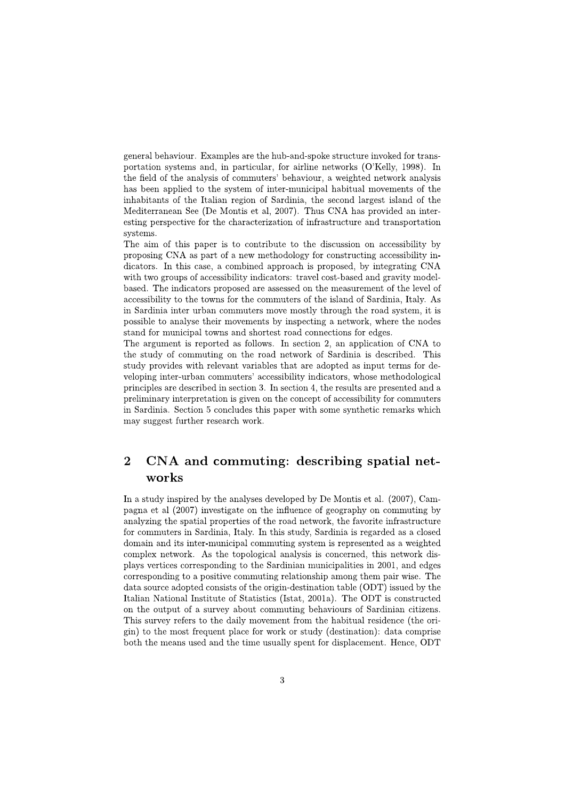general behaviour. Examples are the hub-and-spoke structure invoked for transportation systems and, in particular, for airline networks (O'Kelly, 1998). In the field of the analysis of commuters' behaviour, a weighted network analysis has been applied to the system of inter-municipal habitual movements of the inhabitants of the Italian region of Sardinia, the second largest island of the Mediterranean See (De Montis et al, 2007). Thus CNA has provided an interesting perspective for the characterization of infrastructure and transportation systems.

The aim of this paper is to contribute to the discussion on accessibility by proposing CNA as part of a new methodology for constructing accessibility indicators. In this case, a combined approach is proposed, by integrating CNA with two groups of accessibility indicators: travel cost-based and gravity modelbased. The indicators proposed are assessed on the measurement of the level of accessibility to the towns for the commuters of the island of Sardinia, Italy. As in Sardinia inter urban commuters move mostly through the road system, it is possible to analyse their movements by inspecting a network, where the nodes stand for municipal towns and shortest road connections for edges.

The argument is reported as follows. In section 2, an application of CNA to the study of commuting on the road network of Sardinia is described. This study provides with relevant variables that are adopted as input terms for developing inter-urban commuters' accessibility indicators, whose methodological principles are described in section 3. In section 4, the results are presented and a preliminary interpretation is given on the concept of accessibility for commuters in Sardinia. Section 5 concludes this paper with some synthetic remarks which may suggest further research work.

## $\overline{2}$ CNA and commuting: describing spatial networks

In a study inspired by the analyses developed by De Montis et al. (2007), Campagna et al (2007) investigate on the influence of geography on commuting by analyzing the spatial properties of the road network, the favorite infrastructure for commuters in Sardinia, Italy. In this study, Sardinia is regarded as a closed domain and its inter-municipal commuting system is represented as a weighted complex network. As the topological analysis is concerned, this network displays vertices corresponding to the Sardinian municipalities in 2001, and edges corresponding to a positive commuting relationship among them pair wise. The data source adopted consists of the origin-destination table (ODT) issued by the Italian National Institute of Statistics (Istat, 2001a). The ODT is constructed on the output of a survey about commuting behaviours of Sardinian citizens. This survey refers to the daily movement from the habitual residence (the origin) to the most frequent place for work or study (destination): data comprise both the means used and the time usually spent for displacement. Hence, ODT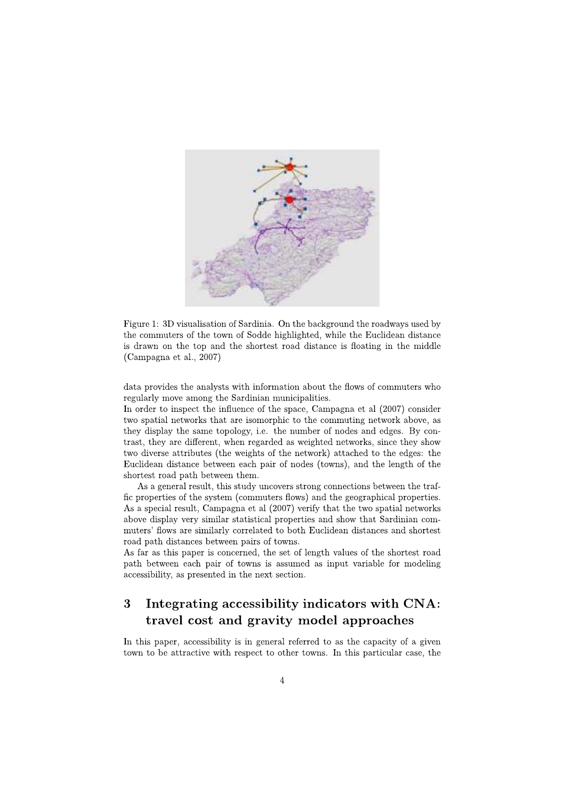

Figure 1: 3D visualisation of Sardinia. On the background the roadways used by the commuters of the town of Sodde highlighted, while the Euclidean distance is drawn on the top and the shortest road distance is floating in the middle  $(Campagna et al., 2007)$ 

data provides the analysts with information about the flows of commuters who regularly move among the Sardinian municipalities.

In order to inspect the influence of the space, Campagna et al (2007) consider two spatial networks that are isomorphic to the commuting network above, as they display the same topology, i.e. the number of nodes and edges. By contrast, they are different, when regarded as weighted networks, since they show two diverse attributes (the weights of the network) attached to the edges: the Euclidean distance between each pair of nodes (towns), and the length of the shortest road path between them.

As a general result, this study uncovers strong connections between the traffic properties of the system (commuters flows) and the geographical properties. As a special result, Campagna et al (2007) verify that the two spatial networks above display very similar statistical properties and show that Sardinian commuters' flows are similarly correlated to both Euclidean distances and shortest road path distances between pairs of towns.

As far as this paper is concerned, the set of length values of the shortest road path between each pair of towns is assumed as input variable for modeling accessibility, as presented in the next section.

# 3 Integrating accessibility indicators with CNA: travel cost and gravity model approaches

In this paper, accessibility is in general referred to as the capacity of a given town to be attractive with respect to other towns. In this particular case, the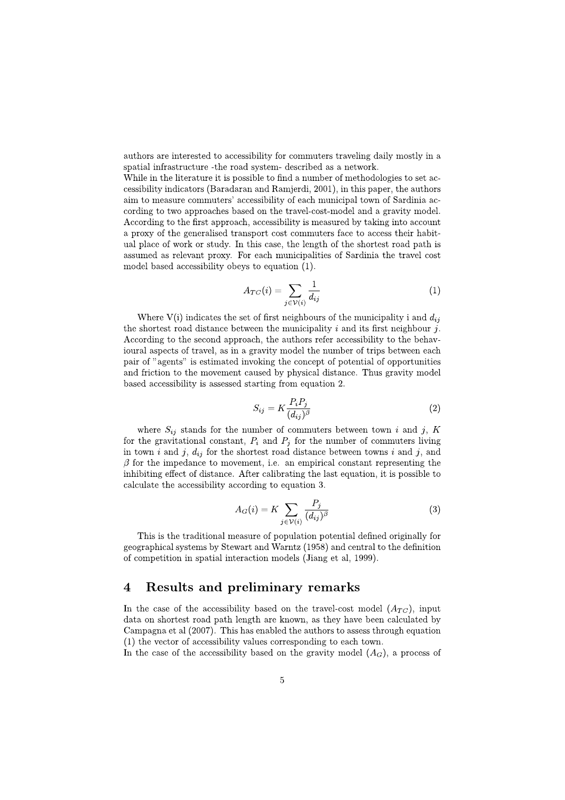authors are interested to accessibility for commuters traveling daily mostly in a spatial infrastructure - the road system- described as a network.

While in the literature it is possible to find a number of methodologies to set accessibility indicators (Baradaran and Ramjerdi, 2001), in this paper, the authors aim to measure commuters' accessibility of each municipal town of Sardinia according to two approaches based on the travel-cost-model and a gravity model. According to the first approach, accessibility is measured by taking into account a proxy of the generalised transport cost commuters face to access their habitual place of work or study. In this case, the length of the shortest road path is assumed as relevant proxy. For each municipalities of Sardinia the travel cost model based accessibility obeys to equation (1).

$$
A_{TC}(i) = \sum_{j \in \mathcal{V}(i)} \frac{1}{d_{ij}} \tag{1}
$$

Where  $V(i)$  indicates the set of first neighbours of the municipality i and  $d_{ij}$ the shortest road distance between the municipality  $i$  and its first neighbour  $j$ . According to the second approach, the authors refer accessibility to the behavioural aspects of travel, as in a gravity model the number of trips between each pair of "agents" is estimated invoking the concept of potential of opportunities and friction to the movement caused by physical distance. Thus gravity model based accessibility is assessed starting from equation 2.

$$
S_{ij} = K \frac{P_i P_j}{(d_{ij})^{\beta}} \tag{2}
$$

where  $S_{ij}$  stands for the number of commuters between town i and j, K for the gravitational constant,  $P_i$  and  $P_j$  for the number of commuters living in town  $i$  and  $j$ ,  $d_{ij}$  for the shortest road distance between towns  $i$  and  $j$ , and  $\beta$  for the impedance to movement, i.e. an empirical constant representing the inhibiting effect of distance. After calibrating the last equation, it is possible to calculate the accessibility according to equation 3.

$$
A_G(i) = K \sum_{j \in \mathcal{V}(i)} \frac{P_j}{(d_{ij})^{\beta}}
$$
(3)

This is the traditional measure of population potential defined originally for geographical systems by Stewart and Warntz (1958) and central to the definition of competition in spatial interaction models (Jiang et al. 1999).

#### $\overline{\mathbf{4}}$ **Results and preliminary remarks**

In the case of the accessibility based on the travel-cost model  $(A_{TC})$ , input data on shortest road path length are known, as they have been calculated by Campagna et al (2007). This has enabled the authors to assess through equation (1) the vector of accessibility values corresponding to each town.

In the case of the accessibility based on the gravity model  $(A_G)$ , a process of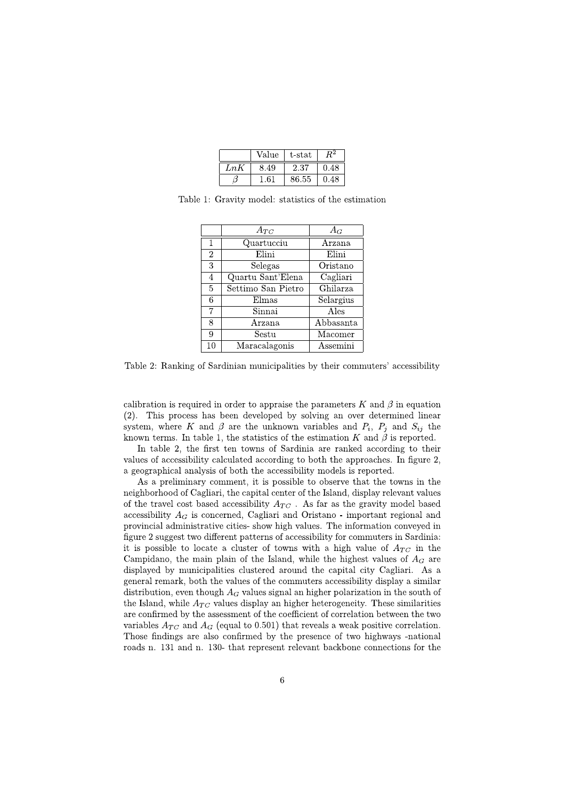|     | Value | t-stat |      |
|-----|-------|--------|------|
| LnK | 3.49  | 2.37   | 0.48 |
|     | 61    | 86.55  | 0.48 |

Table 1: Gravity model: statistics of the estimation

|                | $A_{TC}$                    | $A_G$     |
|----------------|-----------------------------|-----------|
| $\mathbf{1}$   | Quartucciu                  | Arzana    |
| $\overline{2}$ | Elini                       | Elini     |
| 3              | Selegas                     | Oristano  |
| $\overline{4}$ | Quartu Sant'Elena           | Cagliari  |
| 5              | Settimo San Pietro          | Ghilarza  |
| 6              | Elmas                       | Selargius |
| 7              | $\overline{\text{S}}$ innai | Ales      |
| 8              | Arzana                      | Abbasanta |
| 9              | Sestu                       | Macomer   |
| 10             | Maracalagonis               | Assemini  |

Table 2: Ranking of Sardinian municipalities by their commuters' accessibility

calibration is required in order to appraise the parameters K and  $\beta$  in equation (2). This process has been developed by solving an over determined linear system, where K and  $\beta$  are the unknown variables and  $P_i$ ,  $P_j$  and  $S_{ij}$  the known terms. In table 1, the statistics of the estimation K and  $\beta$  is reported.

In table 2, the first ten towns of Sardinia are ranked according to their values of accessibility calculated according to both the approaches. In figure 2, a geographical analysis of both the accessibility models is reported.

As a preliminary comment, it is possible to observe that the towns in the neighborhood of Cagliari, the capital center of the Island, display relevant values of the travel cost based accessibility  $A_{TC}$ . As far as the gravity model based accessibility  $A_G$  is concerned, Cagliari and Oristano - important regional and provincial administrative cities- show high values. The information conveved in figure 2 suggest two different patterns of accessibility for commuters in Sardinia: it is possible to locate a cluster of towns with a high value of  $A_{TC}$  in the Campidano, the main plain of the Island, while the highest values of  $A_G$  are displayed by municipalities clustered around the capital city Cagliari. As a general remark, both the values of the commuters accessibility display a similar distribution, even though  $A_G$  values signal an higher polarization in the south of the Island, while  $A_{TC}$  values display an higher heterogeneity. These similarities are confirmed by the assessment of the coefficient of correlation between the two variables  $A_{TC}$  and  $A_G$  (equal to 0.501) that reveals a weak positive correlation. Those findings are also confirmed by the presence of two highways -national roads n. 131 and n. 130- that represent relevant backbone connections for the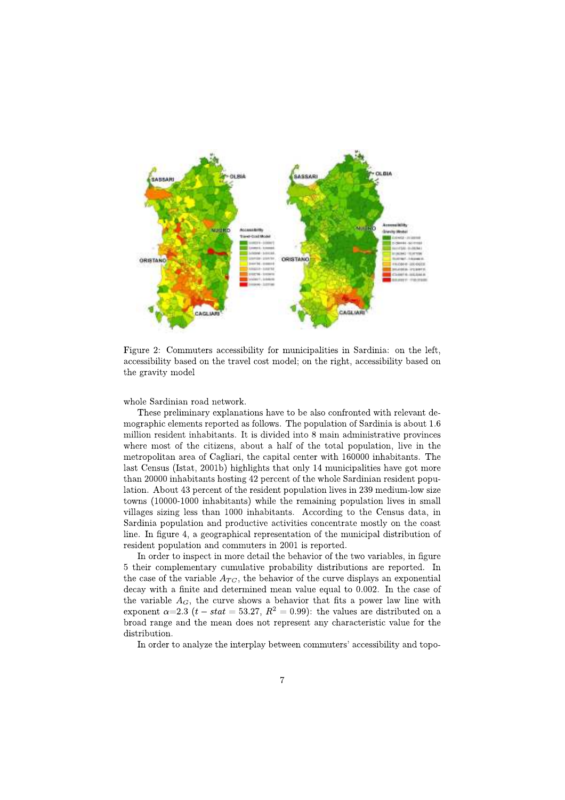

Figure 2: Commuters accessibility for municipalities in Sardinia: on the left, accessibility based on the travel cost model; on the right, accessibility based on the gravity model

whole Sardinian road network.

These preliminary explanations have to be also confronted with relevant demographic elements reported as follows. The population of Sardinia is about 1.6 million resident inhabitants. It is divided into 8 main administrative provinces where most of the citizens, about a half of the total population, live in the metropolitan area of Cagliari, the capital center with 160000 inhabitants. The last Census (Istat, 2001b) highlights that only 14 municipalities have got more than 20000 inhabitants hosting 42 percent of the whole Sardinian resident population. About 43 percent of the resident population lives in 239 medium-low size towns (10000-1000 inhabitants) while the remaining population lives in small villages sizing less than 1000 inhabitants. According to the Census data, in Sardinia population and productive activities concentrate mostly on the coast line. In figure 4, a geographical representation of the municipal distribution of resident population and commuters in 2001 is reported.

In order to inspect in more detail the behavior of the two variables, in figure 5 their complementary cumulative probability distributions are reported. In the case of the variable  $A_{TC}$ , the behavior of the curve displays an exponential  $\frac{1}{2}$  decay with a finite and determined mean value equal to 0.002. In the case of the variable  $A_G$ , the curve shows a behavior that fits a power law line with exponent  $\alpha=2.3$  (*t* – *stat* = 53.27,  $R^2 = 0.99$ ): the values are distributed on a broad range and the mean does not represent any characteristic value for the distribution.

In order to analyze the interplay between commuters' accessibility and topo-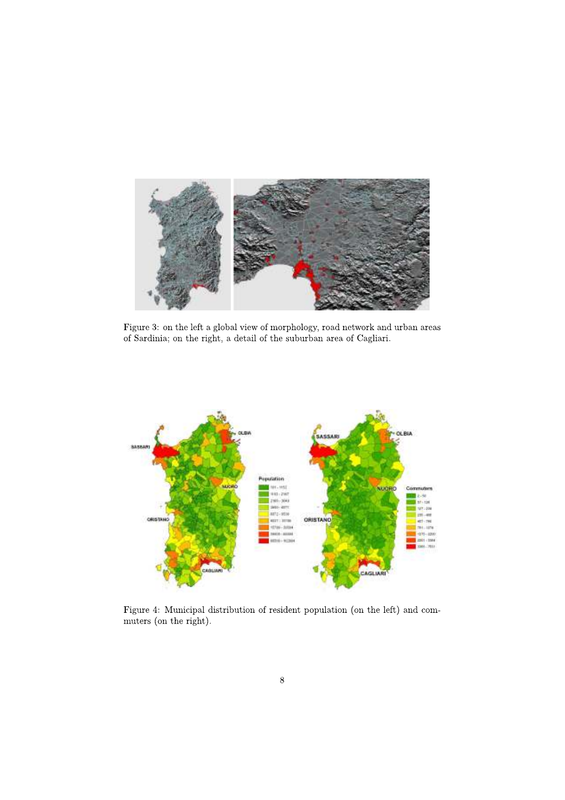

Figure 3: on the left a global view of morphology, road network and urban areas of Sardinia; on the right, a detail of the suburban area of Cagliari.



Figure 4: Municipal distribution of resident population (on the left) and commuters (on the right).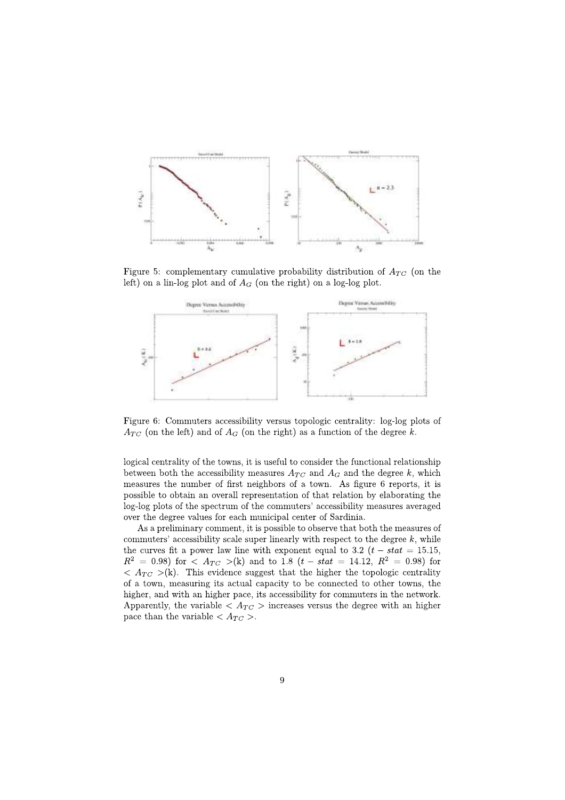

Figure 5: complementary cumulative probability distribution of  $A_{TC}$  (on the left) on a lin-log plot and of  $A_G$  (on the right) on a log-log plot.



Figure 6: Commuters accessibility versus topologic centrality: log-log plots of  $A_{TC}$  (on the left) and of  $A_G$  (on the right) as a function of the degree k.

logical centrality of the towns, it is useful to consider the functional relationship between both the accessibility measures  $A_{TC}$  and  $A_G$  and the degree k, which measures the number of first neighbors of a town. As figure 6 reports, it is possible to obtain an overall representation of that relation by elaborating the log-log plots of the spectrum of the commuters' accessibility measures averaged over the degree values for each municipal center of Sardinia.

As a preliminary comment, it is possible to observe that both the measures of commuters' accessibility scale super linearly with respect to the degree  $k$ , while the curves fit a power law line with exponent equal to 3.2  $(t - stat = 15.15,$  $R^2 = 0.98$  for  $\langle A_{TC} \rangle$  (k) and to 1.8  $(t - stat = 14.12, R^2 = 0.98)$  for  $\langle A_{TC} \rangle$  (k). This evidence suggest that the higher the topologic centrality of a town, measuring its actual capacity to be connected to other towns, the higher, and with an higher pace, its accessibility for commuters in the network. Apparently, the variable  $\langle A_{TC} \rangle$  increases versus the degree with an higher pace than the variable  $\langle A_{TC} \rangle$ .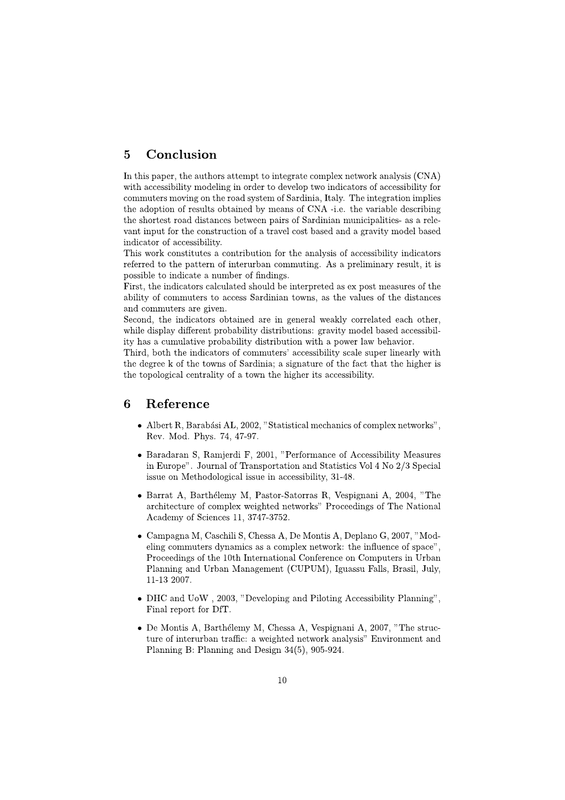### Conclusion  $\overline{5}$

In this paper, the authors attempt to integrate complex network analysis (CNA) with accessibility modeling in order to develop two indicators of accessibility for commuters moving on the road system of Sardinia, Italy. The integration implies the adoption of results obtained by means of CNA -i.e. the variable describing the shortest road distances between pairs of Sardinian municipalities- as a relevant input for the construction of a travel cost based and a gravity model based indicator of accessibility.

This work constitutes a contribution for the analysis of accessibility indicators referred to the pattern of interurban commuting. As a preliminary result, it is possible to indicate a number of findings.

First, the indicators calculated should be interpreted as ex post measures of the ability of commuters to access Sardinian towns, as the values of the distances and commuters are given.

Second, the indicators obtained are in general weakly correlated each other, while display different probability distributions: gravity model based accessibility has a cumulative probability distribution with a power law behavior.

Third, both the indicators of commuters' accessibility scale super linearly with the degree k of the towns of Sardinia; a signature of the fact that the higher is the topological centrality of a town the higher its accessibility.

#### 6 Reference

- Albert R, Barabási AL, 2002, "Statistical mechanics of complex networks". Rev. Mod. Phys. 74, 47-97.
- Baradaran S, Ramjerdi F, 2001, "Performance of Accessibility Measures in Europe". Journal of Transportation and Statistics Vol 4 No 2/3 Special issue on Methodological issue in accessibility, 31-48.
- Barrat A, Barthélemy M, Pastor-Satorras R, Vespignani A, 2004, "The architecture of complex weighted networks" Proceedings of The National Academy of Sciences 11, 3747-3752.
- Campagna M, Caschili S, Chessa A, De Montis A, Deplano G, 2007, "Modeling commuters dynamics as a complex network: the influence of space". Proceedings of the 10th International Conference on Computers in Urban Planning and Urban Management (CUPUM), Iguassu Falls, Brasil, July, 11-13 2007.
- DHC and UoW, 2003, "Developing and Piloting Accessibility Planning". Final report for DfT.
- De Montis A, Barthélemy M, Chessa A, Vespignani A, 2007, "The structure of interurban traffic: a weighted network analysis" Environment and Planning B: Planning and Design  $34(5)$ , 905-924.